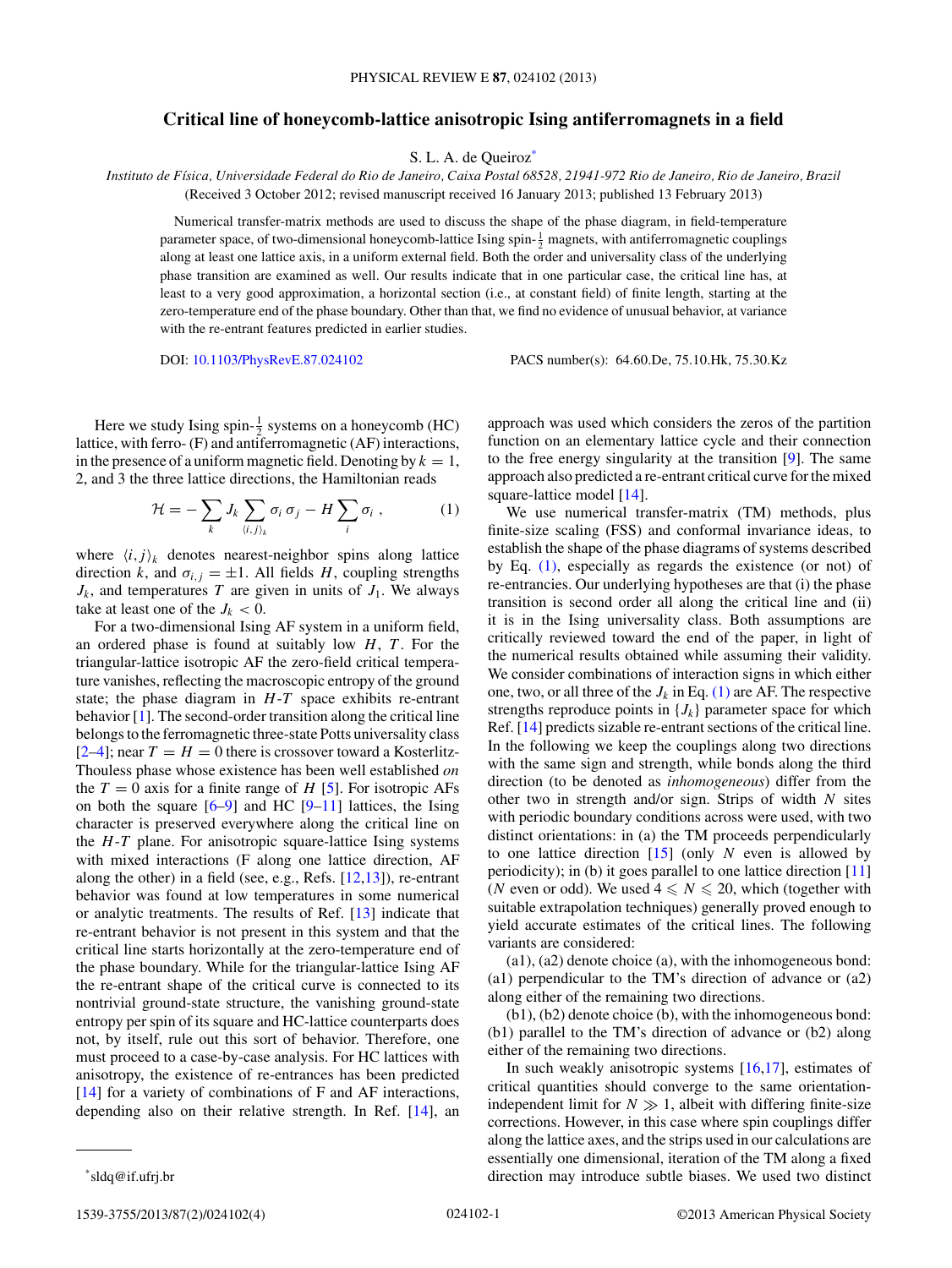## **Critical line of honeycomb-lattice anisotropic Ising antiferromagnets in a field**

S. L. A. de Queiroz<sup>\*</sup>

*Instituto de F´ısica, Universidade Federal do Rio de Janeiro, Caixa Postal 68528, 21941-972 Rio de Janeiro, Rio de Janeiro, Brazil* (Received 3 October 2012; revised manuscript received 16 January 2013; published 13 February 2013)

Numerical transfer-matrix methods are used to discuss the shape of the phase diagram, in field-temperature parameter space, of two-dimensional honeycomb-lattice Ising spin- $\frac{1}{2}$  magnets, with antiferromagnetic couplings along at least one lattice axis, in a uniform external field. Both the order and universality class of the underlying phase transition are examined as well. Our results indicate that in one particular case, the critical line has, at least to a very good approximation, a horizontal section (i.e., at constant field) of finite length, starting at the zero-temperature end of the phase boundary. Other than that, we find no evidence of unusual behavior, at variance with the re-entrant features predicted in earlier studies.

DOI: [10.1103/PhysRevE.87.024102](http://dx.doi.org/10.1103/PhysRevE.87.024102) PACS number(s): 64*.*60*.*De, 75*.*10*.*Hk, 75*.*30*.*Kz

Here we study Ising spin- $\frac{1}{2}$  systems on a honeycomb (HC) lattice, with ferro- (F) and antiferromagnetic (AF) interactions, in the presence of a uniform magnetic field. Denoting by  $k = 1$ , 2, and 3 the three lattice directions, the Hamiltonian reads

$$
\mathcal{H} = -\sum_{k} J_k \sum_{\langle i,j \rangle_k} \sigma_i \sigma_j - H \sum_{i} \sigma_i , \qquad (1)
$$

where  $\langle i, j \rangle_k$  denotes nearest-neighbor spins along lattice direction *k*, and  $\sigma_{i,j} = \pm 1$ . All fields *H*, coupling strengths  $J_k$ , and temperatures *T* are given in units of  $J_1$ . We always take at least one of the  $J_k < 0$ .

For a two-dimensional Ising AF system in a uniform field, an ordered phase is found at suitably low *H*, *T*. For the triangular-lattice isotropic AF the zero-field critical temperature vanishes, reflecting the macroscopic entropy of the ground state; the phase diagram in *H*-*T* space exhibits re-entrant behavior [\[1\]](#page-3-0). The second-order transition along the critical line belongs to the ferromagnetic three-state Potts universality class  $[2-4]$ ; near  $T = H = 0$  there is crossover toward a Kosterlitz-Thouless phase whose existence has been well established *on* the  $T = 0$  axis for a finite range of  $H$  [\[5\]](#page-3-0). For isotropic AFs on both the square  $[6-9]$  and HC  $[9-11]$  lattices, the Ising character is preserved everywhere along the critical line on the *H*-*T* plane. For anisotropic square-lattice Ising systems with mixed interactions (F along one lattice direction, AF along the other) in a field (see, e.g., Refs.  $[12,13]$ ), re-entrant behavior was found at low temperatures in some numerical or analytic treatments. The results of Ref. [\[13\]](#page-3-0) indicate that re-entrant behavior is not present in this system and that the critical line starts horizontally at the zero-temperature end of the phase boundary. While for the triangular-lattice Ising AF the re-entrant shape of the critical curve is connected to its nontrivial ground-state structure, the vanishing ground-state entropy per spin of its square and HC-lattice counterparts does not, by itself, rule out this sort of behavior. Therefore, one must proceed to a case-by-case analysis. For HC lattices with anisotropy, the existence of re-entrances has been predicted [\[14\]](#page-3-0) for a variety of combinations of F and AF interactions, depending also on their relative strength. In Ref. [\[14\]](#page-3-0), an

function on an elementary lattice cycle and their connection to the free energy singularity at the transition [\[9\]](#page-3-0). The same approach also predicted a re-entrant critical curve for the mixed square-lattice model [\[14\]](#page-3-0). We use numerical transfer-matrix (TM) methods, plus finite-size scaling (FSS) and conformal invariance ideas, to

approach was used which considers the zeros of the partition

establish the shape of the phase diagrams of systems described by Eq. (1), especially as regards the existence (or not) of re-entrancies. Our underlying hypotheses are that (i) the phase transition is second order all along the critical line and (ii) it is in the Ising universality class. Both assumptions are critically reviewed toward the end of the paper, in light of the numerical results obtained while assuming their validity. We consider combinations of interaction signs in which either one, two, or all three of the  $J_k$  in Eq. (1) are AF. The respective strengths reproduce points in  ${J_k}$  parameter space for which Ref. [\[14\]](#page-3-0) predicts sizable re-entrant sections of the critical line. In the following we keep the couplings along two directions with the same sign and strength, while bonds along the third direction (to be denoted as *inhomogeneous*) differ from the other two in strength and/or sign. Strips of width *N* sites with periodic boundary conditions across were used, with two distinct orientations: in (a) the TM proceeds perpendicularly to one lattice direction [\[15\]](#page-3-0) (only *N* even is allowed by periodicity); in (b) it goes parallel to one lattice direction [\[11\]](#page-3-0) (*N* even or odd). We used  $4 \leq N \leq 20$ , which (together with suitable extrapolation techniques) generally proved enough to yield accurate estimates of the critical lines. The following variants are considered:

(a1), (a2) denote choice (a), with the inhomogeneous bond: (a1) perpendicular to the TM's direction of advance or (a2) along either of the remaining two directions.

(b1), (b2) denote choice (b), with the inhomogeneous bond: (b1) parallel to the TM's direction of advance or (b2) along either of the remaining two directions.

In such weakly anisotropic systems  $[16,17]$ , estimates of critical quantities should converge to the same orientationindependent limit for  $N \gg 1$ , albeit with differing finite-size corrections. However, in this case where spin couplings differ along the lattice axes, and the strips used in our calculations are essentially one dimensional, iteration of the TM along a fixed direction may introduce subtle biases. We used two distinct

<sup>\*</sup>sldq@if.ufrj.br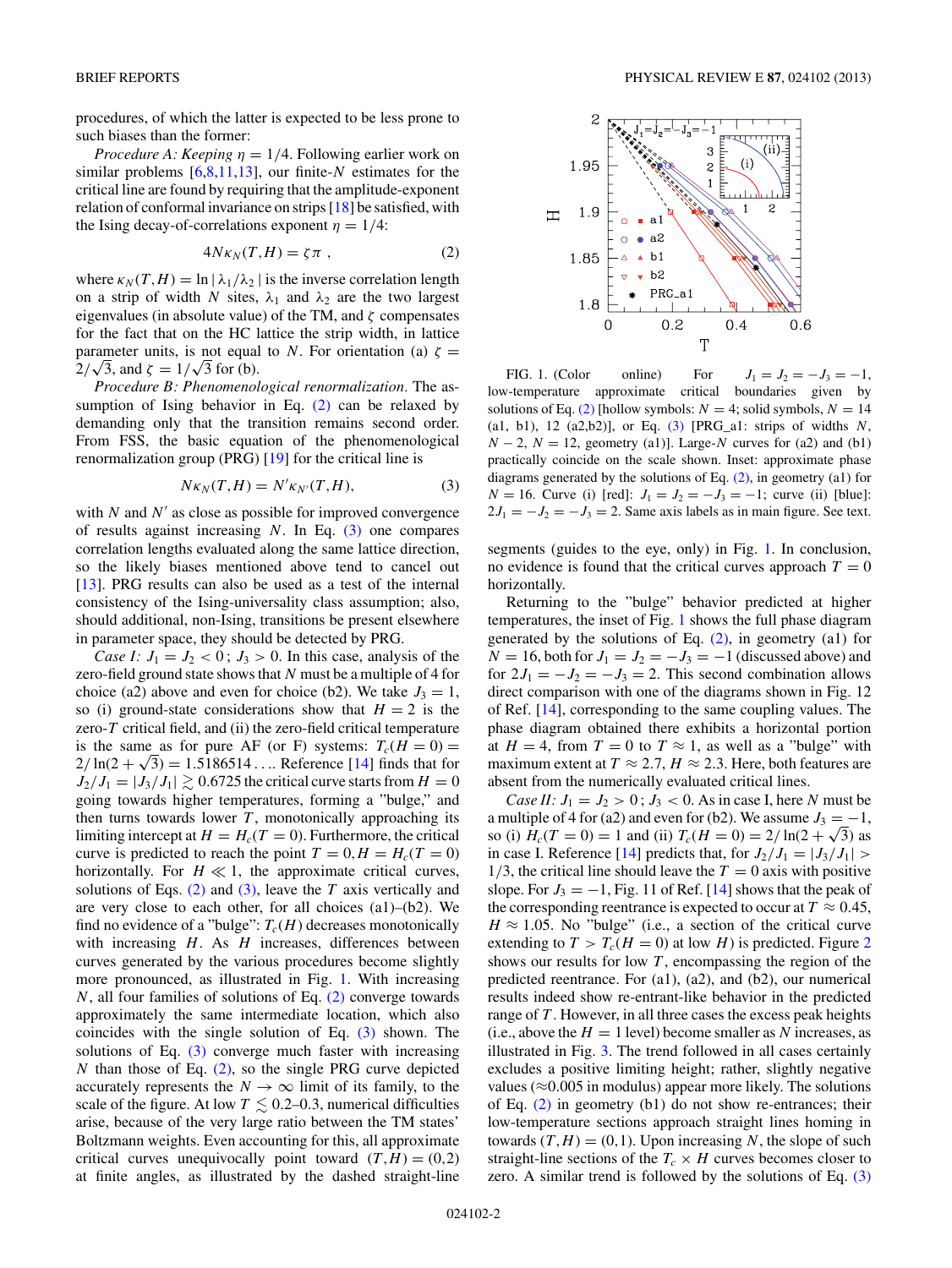<span id="page-1-0"></span>procedures, of which the latter is expected to be less prone to such biases than the former:

*Procedure A: Keeping*  $\eta = 1/4$ . Following earlier work on similar problems [\[6,8,11,13\]](#page-3-0), our finite-*N* estimates for the critical line are found by requiring that the amplitude-exponent relation of conformal invariance on strips [\[18\]](#page-3-0) be satisfied, with the Ising decay-of-correlations exponent  $\eta = 1/4$ :

$$
4N\kappa_N(T, H) = \zeta \pi \t{,} \t(2)
$$

where  $\kappa_N(T,H) = \ln |\lambda_1/\lambda_2|$  is the inverse correlation length on a strip of width *N* sites,  $\lambda_1$  and  $\lambda_2$  are the two largest eigenvalues (in absolute value) of the TM, and *ζ* compensates for the fact that on the HC lattice the strip width, in lattice parameter units, is not equal to *N*. For orientation (a)  $\zeta$  = parameter units, is not equal<br> $2/\sqrt{3}$ , and  $\zeta = 1/\sqrt{3}$  for (b).

*Procedure B: Phenomenological renormalization.* The assumption of Ising behavior in Eq.  $(2)$  can be relaxed by demanding only that the transition remains second order. From FSS, the basic equation of the phenomenological renormalization group (PRG) [\[19\]](#page-3-0) for the critical line is

$$
N\kappa_N(T, H) = N'\kappa_{N'}(T, H),\tag{3}
$$

with  $N$  and  $N'$  as close as possible for improved convergence of results against increasing *N*. In Eq. (3) one compares correlation lengths evaluated along the same lattice direction, so the likely biases mentioned above tend to cancel out [\[13\]](#page-3-0). PRG results can also be used as a test of the internal consistency of the Ising-universality class assumption; also, should additional, non-Ising, transitions be present elsewhere in parameter space, they should be detected by PRG.

*Case I:*  $J_1 = J_2 < 0$ ;  $J_3 > 0$ . In this case, analysis of the zero-field ground state shows that *N* must be a multiple of 4 for choice (a2) above and even for choice (b2). We take  $J_3 = 1$ , so (i) ground-state considerations show that  $H = 2$  is the zero-*T* critical field, and (ii) the zero-field critical temperature is the same as for pure AF (or F) systems:  $T_c(H = 0) =$  $2/\ln(2 + \sqrt{3}) = 1.5186514...$  Reference [\[14\]](#page-3-0) finds that for  $J_2/J_1 = |J_3/J_1| \gtrsim 0.6725$  the critical curve starts from  $H = 0$ going towards higher temperatures, forming a "bulge," and then turns towards lower  $T$ , monotonically approaching its limiting intercept at  $H = H_c(T = 0)$ . Furthermore, the critical curve is predicted to reach the point  $T = 0, H = H_c(T = 0)$ horizontally. For  $H \ll 1$ , the approximate critical curves, solutions of Eqs. (2) and (3), leave the *T* axis vertically and are very close to each other, for all choices (a1)–(b2). We find no evidence of a "bulge":  $T_c(H)$  decreases monotonically with increasing *H*. As *H* increases, differences between curves generated by the various procedures become slightly more pronounced, as illustrated in Fig. 1. With increasing *N*, all four families of solutions of Eq. (2) converge towards approximately the same intermediate location, which also coincides with the single solution of Eq. (3) shown. The solutions of Eq.  $(3)$  converge much faster with increasing *N* than those of Eq. (2), so the single PRG curve depicted accurately represents the  $N \to \infty$  limit of its family, to the scale of the figure. At low  $T \lesssim 0.2{\text -}0.3$ , numerical difficulties arise, because of the very large ratio between the TM states' Boltzmann weights. Even accounting for this, all approximate critical curves unequivocally point toward  $(T,H) = (0,2)$ at finite angles, as illustrated by the dashed straight-line



FIG. 1. (Color online) For  $J_1 = J_2 = -J_3 = -1$ , low-temperature approximate critical boundaries given by solutions of Eq. (2) [hollow symbols:  $N = 4$ ; solid symbols,  $N = 14$ (a1, b1), 12 (a2,b2)], or Eq. (3) [PRG\_a1: strips of widths *N*,  $N - 2$ ,  $N = 12$ , geometry (a1)]. Large-*N* curves for (a2) and (b1) practically coincide on the scale shown. Inset: approximate phase diagrams generated by the solutions of Eq.  $(2)$ , in geometry  $(a1)$  for *N* = 16. Curve (i) [red]:  $J_1 = J_2 = -J_3 = -1$ ; curve (ii) [blue]:  $2J_1 = -J_2 = -J_3 = 2$ . Same axis labels as in main figure. See text.

segments (guides to the eye, only) in Fig. 1. In conclusion, no evidence is found that the critical curves approach  $T = 0$ horizontally.

Returning to the "bulge" behavior predicted at higher temperatures, the inset of Fig. 1 shows the full phase diagram generated by the solutions of Eq.  $(2)$ , in geometry  $(2)$  for  $N = 16$ , both for  $J_1 = J_2 = -J_3 = -1$  (discussed above) and for  $2J_1 = -J_2 = -J_3 = 2$ . This second combination allows direct comparison with one of the diagrams shown in Fig. 12 of Ref. [\[14\]](#page-3-0), corresponding to the same coupling values. The phase diagram obtained there exhibits a horizontal portion at  $H = 4$ , from  $T = 0$  to  $T \approx 1$ , as well as a "bulge" with maximum extent at  $T \approx 2.7$ ,  $H \approx 2.3$ . Here, both features are absent from the numerically evaluated critical lines.

*Case II:*  $J_1 = J_2 > 0$ ;  $J_3 < 0$ . As in case I, here *N* must be a multiple of 4 for (a2) and even for (b2). We assume  $J_3 = -1$ , so (i)  $H_c(T=0) = 1$  and (ii)  $T_c(H=0) = 2/\ln(2+\sqrt{3})$  as in case I. Reference [\[14\]](#page-3-0) predicts that, for  $J_2/J_1 = |J_3/J_1|$  >  $1/3$ , the critical line should leave the  $T = 0$  axis with positive slope. For  $J_3 = -1$ , Fig. 11 of Ref. [\[14\]](#page-3-0) shows that the peak of the corresponding reentrance is expected to occur at  $T \approx 0.45$ ,  $H \approx 1.05$ . No "bulge" (i.e., a section of the critical curve extending to  $T > T_c(H = 0)$  at low *H*) is predicted. Figure [2](#page-2-0) shows our results for low *T* , encompassing the region of the predicted reentrance. For (a1), (a2), and (b2), our numerical results indeed show re-entrant-like behavior in the predicted range of *T* . However, in all three cases the excess peak heights (i.e., above the  $H = 1$  level) become smaller as *N* increases, as illustrated in Fig. [3.](#page-2-0) The trend followed in all cases certainly excludes a positive limiting height; rather, slightly negative values ( $\approx$ 0.005 in modulus) appear more likely. The solutions of Eq.  $(2)$  in geometry  $(b1)$  do not show re-entrances; their low-temperature sections approach straight lines homing in towards  $(T, H) = (0, 1)$ . Upon increasing N, the slope of such straight-line sections of the  $T_c \times H$  curves becomes closer to zero. A similar trend is followed by the solutions of Eq.  $(3)$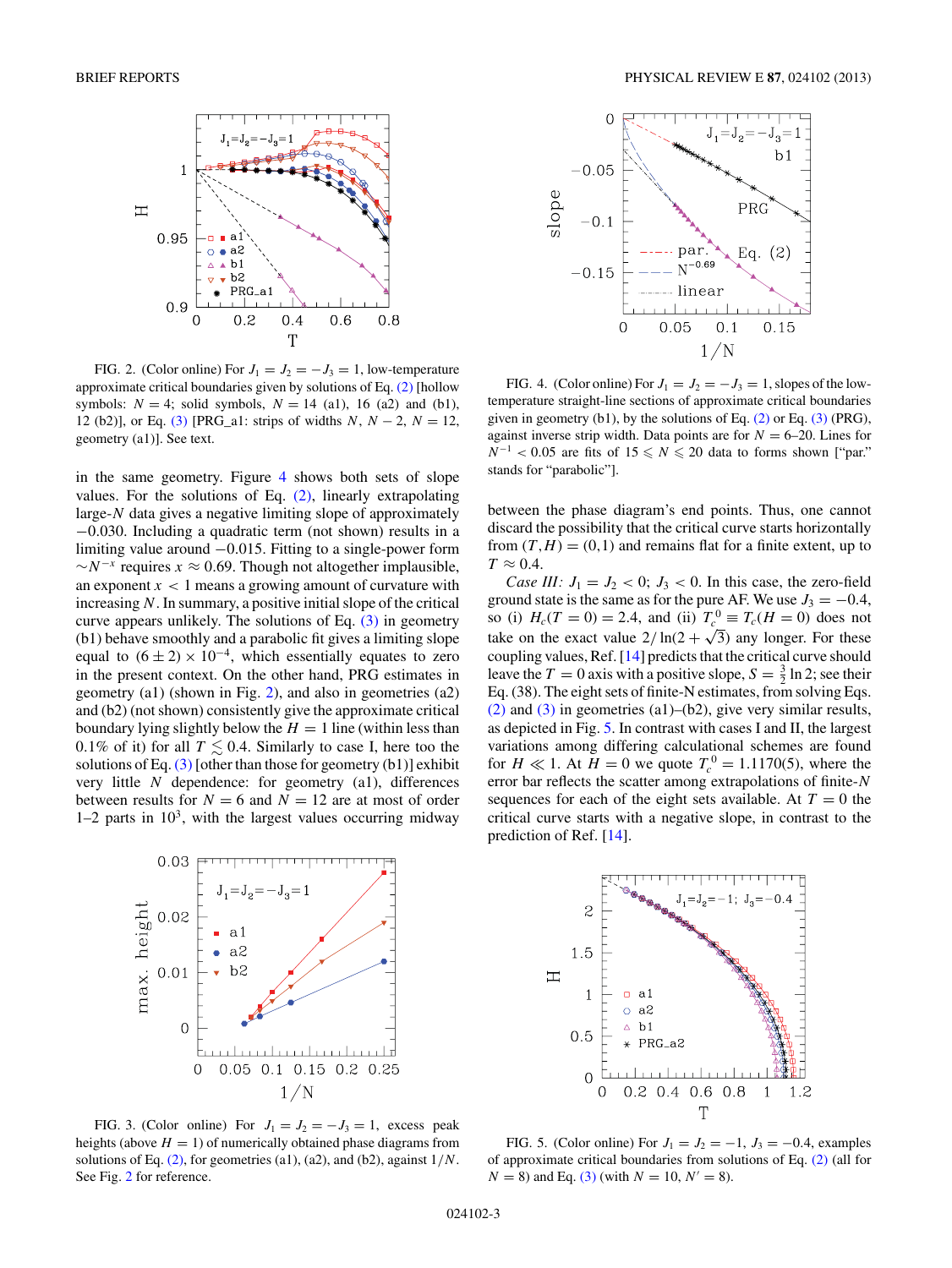<span id="page-2-0"></span>

FIG. 2. (Color online) For  $J_1 = J_2 = -J_3 = 1$ , low-temperature approximate critical boundaries given by solutions of Eq. [\(2\)](#page-1-0) [hollow symbols:  $N = 4$ ; solid symbols,  $N = 14$  (a1), 16 (a2) and (b1), 12 (b2)], or Eq. [\(3\)](#page-1-0) [PRG\_a1: strips of widths *N*, *N* − 2, *N* = 12, geometry (a1)]. See text.

in the same geometry. Figure 4 shows both sets of slope values. For the solutions of Eq. [\(2\),](#page-1-0) linearly extrapolating large-*N* data gives a negative limiting slope of approximately −0*.*030. Including a quadratic term (not shown) results in a limiting value around −0*.*015. Fitting to a single-power form  $\sim N^{-x}$  requires  $x \approx 0.69$ . Though not altogether implausible, an exponent  $x < 1$  means a growing amount of curvature with increasing *N*. In summary, a positive initial slope of the critical curve appears unlikely. The solutions of Eq.  $(3)$  in geometry (b1) behave smoothly and a parabolic fit gives a limiting slope equal to  $(6 \pm 2) \times 10^{-4}$ , which essentially equates to zero in the present context. On the other hand, PRG estimates in geometry (a1) (shown in Fig. 2), and also in geometries (a2) and (b2) (not shown) consistently give the approximate critical boundary lying slightly below the  $H = 1$  line (within less than 0.1% of it) for all  $T \leq 0.4$ . Similarly to case I, here too the solutions of Eq.  $(3)$  [other than those for geometry  $(b1)$ ] exhibit very little *N* dependence: for geometry (a1), differences between results for  $N = 6$  and  $N = 12$  are at most of order  $1-2$  parts in  $10<sup>3</sup>$ , with the largest values occurring midway



FIG. 3. (Color online) For  $J_1 = J_2 = -J_3 = 1$ , excess peak heights (above  $H = 1$ ) of numerically obtained phase diagrams from solutions of Eq. [\(2\),](#page-1-0) for geometries (a1), (a2), and (b2), against 1*/N*. See Fig. 2 for reference.



FIG. 4. (Color online) For  $J_1 = J_2 = -J_3 = 1$ , slopes of the lowtemperature straight-line sections of approximate critical boundaries given in geometry (b1), by the solutions of Eq.  $(2)$  or Eq.  $(3)$  (PRG), against inverse strip width. Data points are for  $N = 6-20$ . Lines for  $N^{-1}$  < 0.05 are fits of 15  $\leq N \leq 20$  data to forms shown ["par." stands for "parabolic"].

between the phase diagram's end points. Thus, one cannot discard the possibility that the critical curve starts horizontally from  $(T, H) = (0, 1)$  and remains flat for a finite extent, up to  $T \approx 0.4$ .

*Case III:*  $J_1 = J_2 < 0$ ;  $J_3 < 0$ . In this case, the zero-field ground state is the same as for the pure AF. We use  $J_3 = -0.4$ , so (i)  $H_c(T = 0) = 2.4$ , and (ii)  $T_c^0 \equiv T_c(H = 0)$  does not take on the exact value  $2/\ln(2 + \sqrt{3})$  any longer. For these coupling values, Ref. [\[14\]](#page-3-0) predicts that the critical curve should leave the  $T = 0$  axis with a positive slope,  $S = \frac{3}{2} \ln 2$ ; see their Eq. (38). The eight sets of finite-N estimates, from solving Eqs. [\(2\)](#page-1-0) and [\(3\)](#page-1-0) in geometries (a1)–(b2), give very similar results, as depicted in Fig. 5. In contrast with cases I and II, the largest variations among differing calculational schemes are found for  $H \ll 1$ . At  $H = 0$  we quote  $T_c^0 = 1.1170(5)$ , where the error bar reflects the scatter among extrapolations of finite-*N* sequences for each of the eight sets available. At  $T = 0$  the critical curve starts with a negative slope, in contrast to the prediction of Ref. [\[14\]](#page-3-0).



FIG. 5. (Color online) For  $J_1 = J_2 = -1$ ,  $J_3 = -0.4$ , examples of approximate critical boundaries from solutions of Eq. [\(2\)](#page-1-0) (all for  $N = 8$ ) and Eq. [\(3\)](#page-1-0) (with  $N = 10$ ,  $N' = 8$ ).